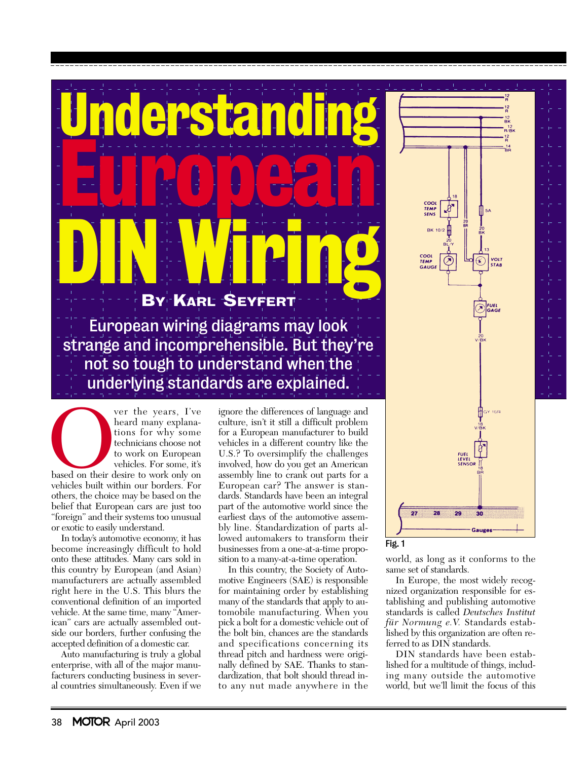



Ver the years, I've<br>heard many explana-<br>tions for why some<br>technicians choose not<br>to work on European<br>vehicles. For some, it's<br>based on their desire to work only on<br>vehicles built within our borders. For<br>others, the choice heard many explanations for why some technicians choose not to work on European vehicles. For some, it's based on their desire to work only on

vehicles built within our borders. For others, the choice may be based on the belief that European cars are just too "foreign" and their systems too unusual or exotic to easily understand.

In today's automotive economy, it has become increasingly difficult to hold onto these attitudes. Many cars sold in this country by European (and Asian) manufacturers are actually assembled right here in the U.S. This blurs the conventional definition of an imported vehicle. At the same time, many "American" cars are actually assembled outside our borders, further confusing the accepted definition of a domestic car.

Auto manufacturing is truly a global enterprise, with all of the major manufacturers conducting business in several countries simultaneously. Even if we culture, isn't it still a difficult problem for a European manufacturer to build vehicles in a different country like the U.S.? To oversimplify the challenges involved, how do you get an American assembly line to crank out parts for a European car? The answer is standards. Standards have been an integral part of the automotive world since the earliest days of the automotive assembly line. Standardization of parts allowed automakers to transform their businesses from a one-at-a-time proposition to a many-at-a-time operation.

In this country, the Society of Automotive Engineers (SAE) is responsible for maintaining order by establishing many of the standards that apply to automobile manufacturing. When you pick a bolt for a domestic vehicle out of the bolt bin, chances are the standards and specifications concerning its thread pitch and hardness were originally defined by SAE. Thanks to standardization, that bolt should thread into any nut made anywhere in the

world, as long as it conforms to the same set of standards.

In Europe, the most widely recognized organization responsible for establishing and publishing automotive standards is called *Deutsches Institut für Normung e.V.* Standards established by this organization are often referred to as DIN standards.

DIN standards have been established for a multitude of things, including many outside the automotive world, but we'll limit the focus of this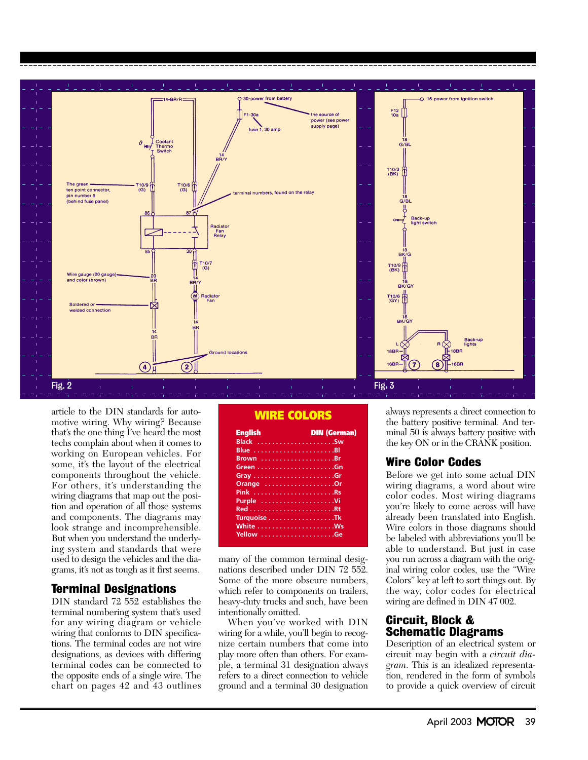

article to the DIN standards for automotive wiring. Why wiring? Because that's the one thing I've heard the most techs complain about when it comes to working on European vehicles. For some, it's the layout of the electrical components throughout the vehicle. For others, it's understanding the wiring diagrams that map out the position and operation of all those systems and components. The diagrams may look strange and incomprehensible. But when you understand the underlying system and standards that were used to design the vehicles and the diagrams, it's not as tough as it first seems.

#### Terminal Designations

DIN standard 72 552 establishes the terminal numbering system that's used for any wiring diagram or vehicle wiring that conforms to DIN specifications. The terminal codes are not wire designations, as devices with differing terminal codes can be connected to the opposite ends of a single wire. The chart on pages 42 and 43 outlines

## WIRE COLORS

| <b>English</b> | <b>DIN (German)</b> |
|----------------|---------------------|
| Black Sw       |                     |
|                |                     |
|                |                     |
|                |                     |
|                |                     |
| Orange Or      |                     |
|                |                     |
| Purple Vi      |                     |
|                |                     |
| Turquoise Tk   |                     |
|                |                     |
|                |                     |

many of the common terminal designations described under DIN 72 552. Some of the more obscure numbers, which refer to components on trailers, heavy-duty trucks and such, have been intentionally omitted.

When you've worked with DIN wiring for a while, you'll begin to recognize certain numbers that come into play more often than others. For example, a terminal 31 designation always refers to a direct connection to vehicle ground and a terminal 30 designation always represents a direct connection to the battery positive terminal. And terminal 50 is always battery positive with the key ON or in the CRANK position.

### Wire Color Codes

Before we get into some actual DIN wiring diagrams, a word about wire color codes. Most wiring diagrams you're likely to come across will have already been translated into English. Wire colors in those diagrams should be labeled with abbreviations you'll be able to understand. But just in case you run across a diagram with the original wiring color codes, use the "Wire Colors" key at left to sort things out. By the way, color codes for electrical wiring are defined in DIN 47 002.

### Circuit, Block & Schematic Diagrams

Description of an electrical system or circuit may begin with a *circuit diagram*. This is an idealized representation, rendered in the form of symbols to provide a quick overview of circuit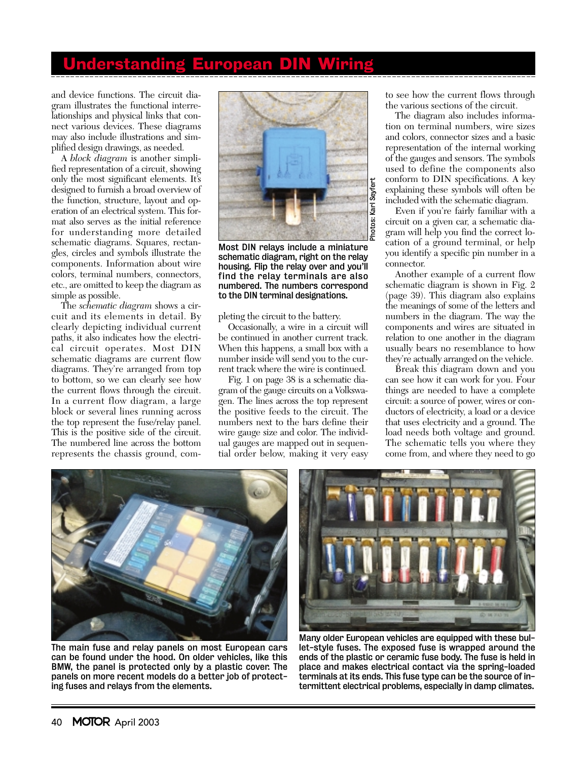# **Understanding European D**

and device functions. The circuit diagram illustrates the functional interrelationships and physical links that connect various devices. These diagrams may also include illustrations and simplified design drawings, as needed.

A *block diagram* is another simplified representation of a circuit, showing only the most significant elements. It's designed to furnish a broad overview of the function, structure, layout and operation of an electrical system. This format also serves as the initial reference for understanding more detailed schematic diagrams. Squares, rectangles, circles and symbols illustrate the components. Information about wire colors, terminal numbers, connectors, etc., are omitted to keep the diagram as simple as possible.

The *schematic diagram* shows a circuit and its elements in detail. By clearly depicting individual current paths, it also indicates how the electrical circuit operates. Most DIN schematic diagrams are current flow diagrams. They're arranged from top to bottom, so we can clearly see how the current flows through the circuit. In a current flow diagram, a large block or several lines running across the top represent the fuse/relay panel. This is the positive side of the circuit. The numbered line across the bottom represents the chassis ground, com-



Most DIN relays include a miniature schematic diagram, right on the relay housing. Flip the relay over and you'll find the relay terminals are also numbered. The numbers correspond to the DIN terminal designations.

pleting the circuit to the battery.

Occasionally, a wire in a circuit will be continued in another current track. When this happens, a small box with a number inside will send you to the current track where the wire is continued.

Fig. 1 on page 38 is a schematic diagram of the gauge circuits on a Volkswagen. The lines across the top represent the positive feeds to the circuit. The numbers next to the bars define their wire gauge size and color. The individual gauges are mapped out in sequential order below, making it very easy to see how the current flows through the various sections of the circuit.

The diagram also includes information on terminal numbers, wire sizes and colors, connector sizes and a basic representation of the internal working of the gauges and sensors. The symbols used to define the components also conform to DIN specifications. A key explaining these symbols will often be included with the schematic diagram.

Even if you're fairly familiar with a circuit on a given car, a schematic diagram will help you find the correct location of a ground terminal, or help you identify a specific pin number in a connector.

Another example of a current flow schematic diagram is shown in Fig. 2 (page 39). This diagram also explains the meanings of some of the letters and numbers in the diagram. The way the components and wires are situated in relation to one another in the diagram usually bears no resemblance to how they're actually arranged on the vehicle.

Break this diagram down and you can see how it can work for you. Four things are needed to have a complete circuit: a source of power, wires or conductors of electricity, a load or a device that uses electricity and a ground. The load needs both voltage and ground. The schematic tells you where they come from, and where they need to go



The main fuse and relay panels on most European cars can be found under the hood. On older vehicles, like this BMW, the panel is protected only by a plastic cover. The panels on more recent models do a better job of protecting fuses and relays from the elements.



Many older European vehicles are equipped with these bullet-style fuses. The exposed fuse is wrapped around the ends of the plastic or ceramic fuse body. The fuse is held in place and makes electrical contact via the spring-loaded terminals at its ends. This fuse type can be the source of in-<br>termittent electrical problems, especially in damp climates.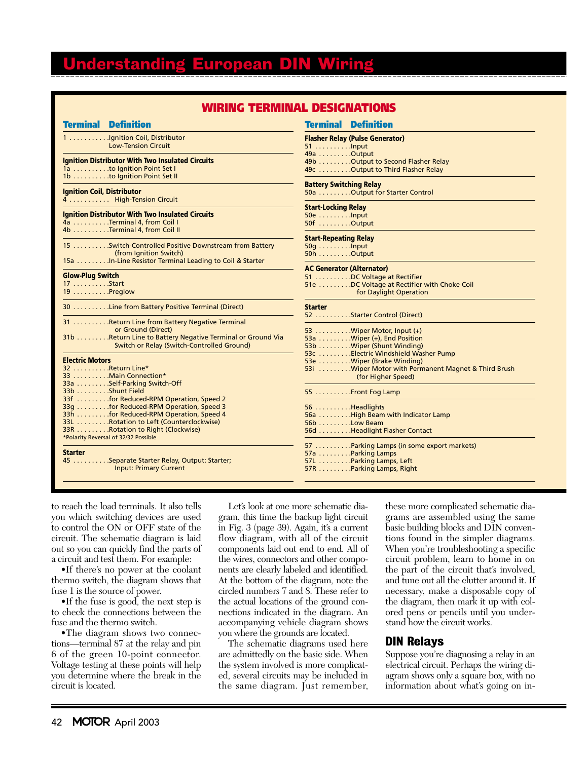# Understanding European Dll

| Iring Terminal Designations                                                                                                                                                                                                                                                                 |                                                                                                                                                                                                                                          |  |
|---------------------------------------------------------------------------------------------------------------------------------------------------------------------------------------------------------------------------------------------------------------------------------------------|------------------------------------------------------------------------------------------------------------------------------------------------------------------------------------------------------------------------------------------|--|
| <b>Terminal Definition</b>                                                                                                                                                                                                                                                                  | <b>Terminal Definition</b>                                                                                                                                                                                                               |  |
| 1 Ignition Coil, Distributor                                                                                                                                                                                                                                                                | <b>Flasher Relay (Pulse Generator)</b>                                                                                                                                                                                                   |  |
| <b>Low-Tension Circuit</b>                                                                                                                                                                                                                                                                  | $51$ lnput                                                                                                                                                                                                                               |  |
| <b>Ignition Distributor With Two Insulated Circuits</b>                                                                                                                                                                                                                                     | 49a Output                                                                                                                                                                                                                               |  |
| 1a to Ignition Point Set I                                                                                                                                                                                                                                                                  | 49b Output to Second Flasher Relay                                                                                                                                                                                                       |  |
| 1b to Ignition Point Set II                                                                                                                                                                                                                                                                 | 49c Output to Third Flasher Relay                                                                                                                                                                                                        |  |
| <b>Ignition Coil, Distributor</b>                                                                                                                                                                                                                                                           | <b>Battery Switching Relay</b>                                                                                                                                                                                                           |  |
| 4  High-Tension Circuit                                                                                                                                                                                                                                                                     | 50a Output for Starter Control                                                                                                                                                                                                           |  |
| <b>Ignition Distributor With Two Insulated Circuits</b>                                                                                                                                                                                                                                     | <b>Start-Locking Relay</b>                                                                                                                                                                                                               |  |
| 4a Terminal 4, from Coil I                                                                                                                                                                                                                                                                  | 50e Input                                                                                                                                                                                                                                |  |
| 4b Terminal 4, from Coil II                                                                                                                                                                                                                                                                 | $50f$ Output                                                                                                                                                                                                                             |  |
| 15  Switch-Controlled Positive Downstream from Battery                                                                                                                                                                                                                                      | <b>Start-Repeating Relay</b>                                                                                                                                                                                                             |  |
| (from Ignition Switch)                                                                                                                                                                                                                                                                      | $50q$                                                                                                                                                                                                                                    |  |
| 15a  In-Line Resistor Terminal Leading to Coil & Starter                                                                                                                                                                                                                                    | $50h$ Output                                                                                                                                                                                                                             |  |
| <b>Glow-Plug Switch</b><br>17 Start<br>19 Preglow                                                                                                                                                                                                                                           | <b>AC Generator (Alternator)</b><br>51 DC Voltage at Rectifier<br>51e DC Voltage at Rectifier with Choke Coil<br>for Daylight Operation                                                                                                  |  |
| 30 Line from Battery Positive Terminal (Direct)                                                                                                                                                                                                                                             | <b>Starter</b>                                                                                                                                                                                                                           |  |
| 31 Return Line from Battery Negative Terminal                                                                                                                                                                                                                                               | 52 Starter Control (Direct)                                                                                                                                                                                                              |  |
| or Ground (Direct)                                                                                                                                                                                                                                                                          | 53 Wiper Motor, Input $(+)$                                                                                                                                                                                                              |  |
| 31b Return Line to Battery Negative Terminal or Ground Via                                                                                                                                                                                                                                  | 53a Wiper (+), End Position                                                                                                                                                                                                              |  |
| Switch or Relay (Switch-Controlled Ground)                                                                                                                                                                                                                                                  | 53b Wiper (Shunt Winding)                                                                                                                                                                                                                |  |
| <b>Electric Motors</b><br>32 Return Line*<br>33 Main Connection*<br>33a Self-Parking Switch-Off<br>33b Shunt Field<br>33f for Reduced-RPM Operation, Speed 2<br>33q for Reduced-RPM Operation, Speed 3<br>33h for Reduced-RPM Operation, Speed 4<br>33L Rotation to Left (Counterclockwise) | 53c Electric Windshield Washer Pump<br>53e Wiper (Brake Winding)<br>53i Wiper Motor with Permanent Magnet & Third Brush<br>(for Higher Speed)<br>55 Front Fog Lamp<br>56 Headlights<br>56a High Beam with Indicator Lamp<br>56b Low Beam |  |
| 33R Rotation to Right (Clockwise)                                                                                                                                                                                                                                                           | 56d Headlight Flasher Contact                                                                                                                                                                                                            |  |
| *Polarity Reversal of 32/32 Possible                                                                                                                                                                                                                                                        | 57 Parking Lamps (in some export markets)                                                                                                                                                                                                |  |
| <b>Starter</b>                                                                                                                                                                                                                                                                              | 57a Parking Lamps                                                                                                                                                                                                                        |  |
| 45 Separate Starter Relay, Output: Starter;                                                                                                                                                                                                                                                 | 57L Parking Lamps, Left                                                                                                                                                                                                                  |  |
| <b>Input: Primary Current</b>                                                                                                                                                                                                                                                               | 57R Parking Lamps, Right                                                                                                                                                                                                                 |  |

to reach the load terminals. It also tells you which switching devices are used to control the ON or OFF state of the circuit. The schematic diagram is laid out so you can quickly find the parts of a circuit and test them. For example:

•If there's no power at the coolant thermo switch, the diagram shows that fuse 1 is the source of power.

•If the fuse is good, the next step is to check the connections between the fuse and the thermo switch.

•The diagram shows two connections—terminal 87 at the relay and pin 6 of the green 10-point connector. Voltage testing at these points will help you determine where the break in the circuit is located.

Let's look at one more schematic diagram, this time the backup light circuit in Fig. 3 (page 39). Again, it's a current flow diagram, with all of the circuit components laid out end to end. All of the wires, connectors and other components are clearly labeled and identified. At the bottom of the diagram, note the circled numbers 7 and 8. These refer to the actual locations of the ground connections indicated in the diagram. An accompanying vehicle diagram shows you where the grounds are located.

The schematic diagrams used here are admittedly on the basic side. When the system involved is more complicated, several circuits may be included in the same diagram. Just remember,

these more complicated schematic diagrams are assembled using the same basic building blocks and DIN conventions found in the simpler diagrams. When you're troubleshooting a specific circuit problem, learn to home in on the part of the circuit that's involved, and tune out all the clutter around it. If necessary, make a disposable copy of the diagram, then mark it up with colored pens or pencils until you understand how the circuit works.

### DIN Relays

Suppose you're diagnosing a relay in an electrical circuit. Perhaps the wiring diagram shows only a square box, with no information about what's going on in-